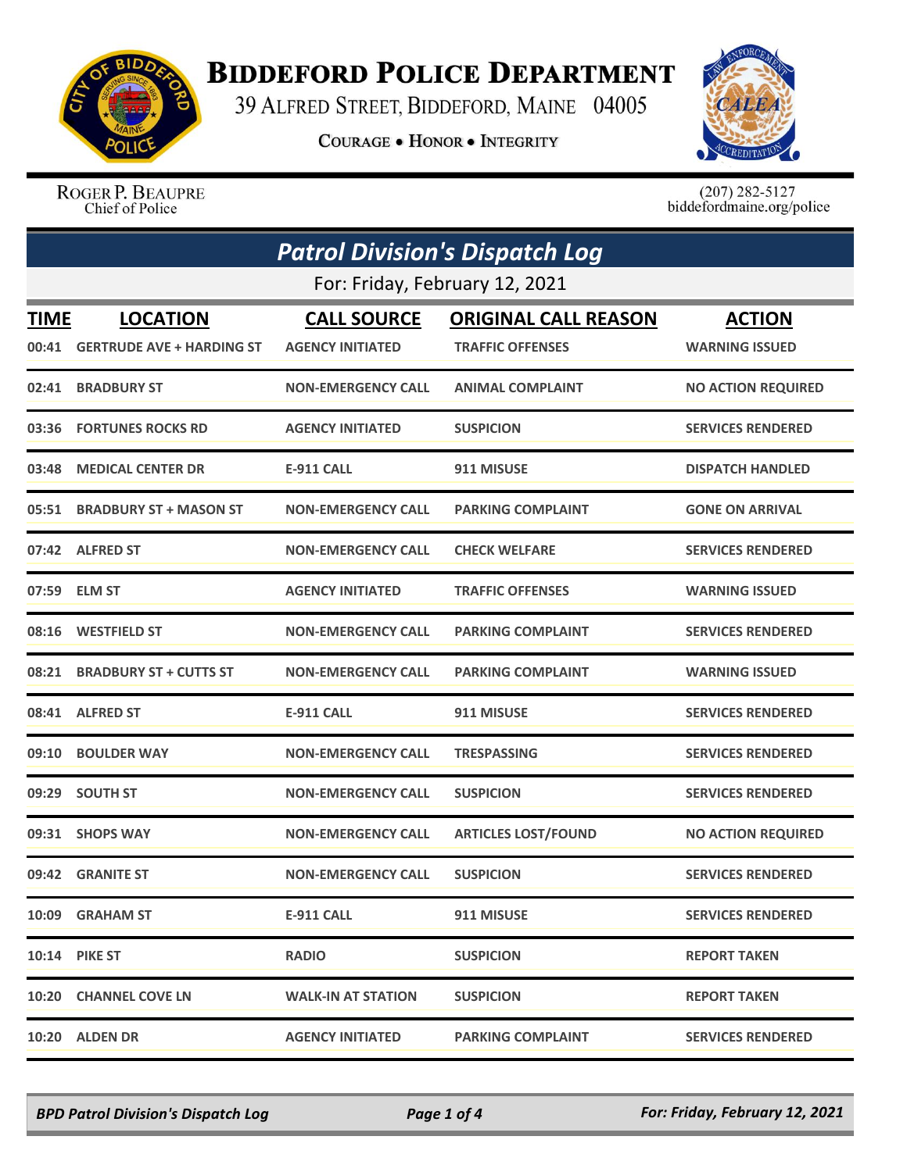

## **BIDDEFORD POLICE DEPARTMENT**

39 ALFRED STREET, BIDDEFORD, MAINE 04005

**COURAGE . HONOR . INTEGRITY** 



ROGER P. BEAUPRE Chief of Police

 $(207)$  282-5127<br>biddefordmaine.org/police

|             | <b>Patrol Division's Dispatch Log</b> |                           |                             |                           |  |
|-------------|---------------------------------------|---------------------------|-----------------------------|---------------------------|--|
|             | For: Friday, February 12, 2021        |                           |                             |                           |  |
| <b>TIME</b> | <b>LOCATION</b>                       | <b>CALL SOURCE</b>        | <b>ORIGINAL CALL REASON</b> | <b>ACTION</b>             |  |
| 00:41       | <b>GERTRUDE AVE + HARDING ST</b>      | <b>AGENCY INITIATED</b>   | <b>TRAFFIC OFFENSES</b>     | <b>WARNING ISSUED</b>     |  |
| 02:41       | <b>BRADBURY ST</b>                    | <b>NON-EMERGENCY CALL</b> | <b>ANIMAL COMPLAINT</b>     | <b>NO ACTION REQUIRED</b> |  |
|             | 03:36 FORTUNES ROCKS RD               | <b>AGENCY INITIATED</b>   | <b>SUSPICION</b>            | <b>SERVICES RENDERED</b>  |  |
| 03:48       | <b>MEDICAL CENTER DR</b>              | <b>E-911 CALL</b>         | 911 MISUSE                  | <b>DISPATCH HANDLED</b>   |  |
|             | 05:51 BRADBURY ST + MASON ST          | <b>NON-EMERGENCY CALL</b> | <b>PARKING COMPLAINT</b>    | <b>GONE ON ARRIVAL</b>    |  |
|             | 07:42 ALFRED ST                       | <b>NON-EMERGENCY CALL</b> | <b>CHECK WELFARE</b>        | <b>SERVICES RENDERED</b>  |  |
| 07:59       | <b>ELM ST</b>                         | <b>AGENCY INITIATED</b>   | <b>TRAFFIC OFFENSES</b>     | <b>WARNING ISSUED</b>     |  |
| 08:16       | <b>WESTFIELD ST</b>                   | <b>NON-EMERGENCY CALL</b> | <b>PARKING COMPLAINT</b>    | <b>SERVICES RENDERED</b>  |  |
| 08:21       | <b>BRADBURY ST + CUTTS ST</b>         | <b>NON-EMERGENCY CALL</b> | <b>PARKING COMPLAINT</b>    | <b>WARNING ISSUED</b>     |  |
|             | 08:41 ALFRED ST                       | <b>E-911 CALL</b>         | 911 MISUSE                  | <b>SERVICES RENDERED</b>  |  |
| 09:10       | <b>BOULDER WAY</b>                    | <b>NON-EMERGENCY CALL</b> | <b>TRESPASSING</b>          | <b>SERVICES RENDERED</b>  |  |
| 09:29       | <b>SOUTH ST</b>                       | <b>NON-EMERGENCY CALL</b> | <b>SUSPICION</b>            | <b>SERVICES RENDERED</b>  |  |
|             | 09:31 SHOPS WAY                       | <b>NON-EMERGENCY CALL</b> | <b>ARTICLES LOST/FOUND</b>  | <b>NO ACTION REQUIRED</b> |  |
| 09:42       | <b>GRANITE ST</b>                     | <b>NON-EMERGENCY CALL</b> | <b>SUSPICION</b>            | <b>SERVICES RENDERED</b>  |  |
|             | 10:09 GRAHAM ST                       | <b>E-911 CALL</b>         | 911 MISUSE                  | <b>SERVICES RENDERED</b>  |  |
|             | <b>10:14 PIKE ST</b>                  | <b>RADIO</b>              | <b>SUSPICION</b>            | <b>REPORT TAKEN</b>       |  |
|             | 10:20 CHANNEL COVE LN                 | <b>WALK-IN AT STATION</b> | <b>SUSPICION</b>            | <b>REPORT TAKEN</b>       |  |
|             | 10:20 ALDEN DR                        | <b>AGENCY INITIATED</b>   | <b>PARKING COMPLAINT</b>    | <b>SERVICES RENDERED</b>  |  |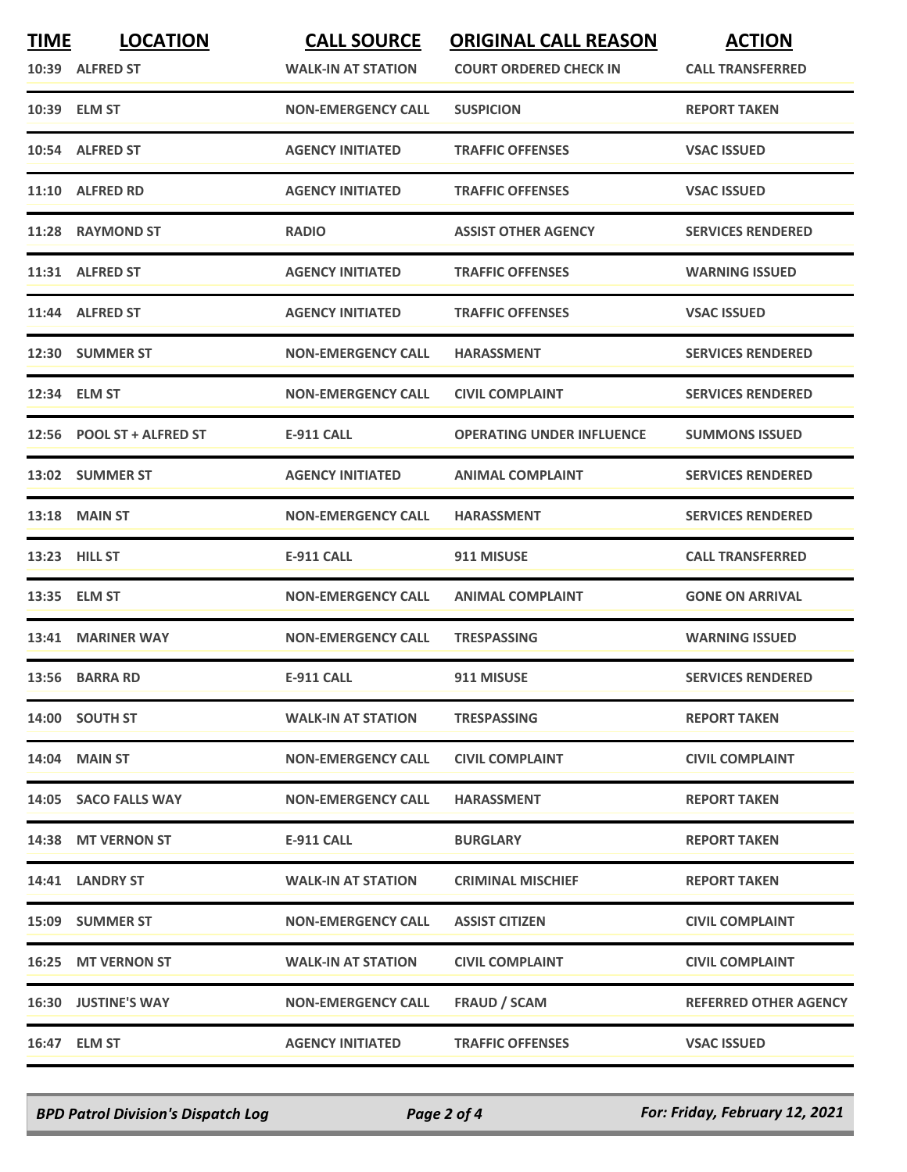| <b>TIME</b> | <b>LOCATION</b>            | <b>CALL SOURCE</b>        | <b>ORIGINAL CALL REASON</b>      | <b>ACTION</b>                |
|-------------|----------------------------|---------------------------|----------------------------------|------------------------------|
|             | 10:39 ALFRED ST            | <b>WALK-IN AT STATION</b> | <b>COURT ORDERED CHECK IN</b>    | <b>CALL TRANSFERRED</b>      |
|             | 10:39 ELM ST               | <b>NON-EMERGENCY CALL</b> | <b>SUSPICION</b>                 | <b>REPORT TAKEN</b>          |
|             | 10:54 ALFRED ST            | <b>AGENCY INITIATED</b>   | <b>TRAFFIC OFFENSES</b>          | <b>VSAC ISSUED</b>           |
|             | 11:10 ALFRED RD            | <b>AGENCY INITIATED</b>   | <b>TRAFFIC OFFENSES</b>          | <b>VSAC ISSUED</b>           |
|             | 11:28 RAYMOND ST           | <b>RADIO</b>              | <b>ASSIST OTHER AGENCY</b>       | <b>SERVICES RENDERED</b>     |
|             | 11:31 ALFRED ST            | <b>AGENCY INITIATED</b>   | <b>TRAFFIC OFFENSES</b>          | <b>WARNING ISSUED</b>        |
|             | 11:44 ALFRED ST            | <b>AGENCY INITIATED</b>   | <b>TRAFFIC OFFENSES</b>          | <b>VSAC ISSUED</b>           |
|             | 12:30 SUMMER ST            | <b>NON-EMERGENCY CALL</b> | <b>HARASSMENT</b>                | <b>SERVICES RENDERED</b>     |
|             | 12:34 ELM ST               | <b>NON-EMERGENCY CALL</b> | <b>CIVIL COMPLAINT</b>           | <b>SERVICES RENDERED</b>     |
|             | 12:56 POOL ST + ALFRED ST  | <b>E-911 CALL</b>         | <b>OPERATING UNDER INFLUENCE</b> | <b>SUMMONS ISSUED</b>        |
|             | 13:02 SUMMER ST            | <b>AGENCY INITIATED</b>   | <b>ANIMAL COMPLAINT</b>          | <b>SERVICES RENDERED</b>     |
|             | <b>13:18 MAIN ST</b>       | <b>NON-EMERGENCY CALL</b> | <b>HARASSMENT</b>                | <b>SERVICES RENDERED</b>     |
|             | 13:23 HILL ST              | <b>E-911 CALL</b>         | 911 MISUSE                       | <b>CALL TRANSFERRED</b>      |
|             | 13:35 ELM ST               | <b>NON-EMERGENCY CALL</b> | <b>ANIMAL COMPLAINT</b>          | <b>GONE ON ARRIVAL</b>       |
|             | 13:41 MARINER WAY          | <b>NON-EMERGENCY CALL</b> | <b>TRESPASSING</b>               | <b>WARNING ISSUED</b>        |
|             | 13:56 BARRA RD             | <b>E-911 CALL</b>         | 911 MISUSE                       | <b>SERVICES RENDERED</b>     |
|             | 14:00 SOUTH ST             | <b>WALK-IN AT STATION</b> | <b>TRESPASSING</b>               | <b>REPORT TAKEN</b>          |
|             | <b>14:04 MAIN ST</b>       | <b>NON-EMERGENCY CALL</b> | <b>CIVIL COMPLAINT</b>           | <b>CIVIL COMPLAINT</b>       |
|             | 14:05 SACO FALLS WAY       | <b>NON-EMERGENCY CALL</b> | <b>HARASSMENT</b>                | <b>REPORT TAKEN</b>          |
|             | 14:38 MT VERNON ST         | <b>E-911 CALL</b>         | <b>BURGLARY</b>                  | <b>REPORT TAKEN</b>          |
|             | 14:41 LANDRY ST            | <b>WALK-IN AT STATION</b> | <b>CRIMINAL MISCHIEF</b>         | <b>REPORT TAKEN</b>          |
|             | 15:09 SUMMER ST            | <b>NON-EMERGENCY CALL</b> | <b>ASSIST CITIZEN</b>            | <b>CIVIL COMPLAINT</b>       |
|             | 16:25 MT VERNON ST         | <b>WALK-IN AT STATION</b> | <b>CIVIL COMPLAINT</b>           | <b>CIVIL COMPLAINT</b>       |
|             | <b>16:30 JUSTINE'S WAY</b> | <b>NON-EMERGENCY CALL</b> | <b>FRAUD / SCAM</b>              | <b>REFERRED OTHER AGENCY</b> |
|             | 16:47 ELM ST               | <b>AGENCY INITIATED</b>   | <b>TRAFFIC OFFENSES</b>          | <b>VSAC ISSUED</b>           |

*BPD Patrol Division's Dispatch Log Page 2 of 4 For: Friday, February 12, 2021*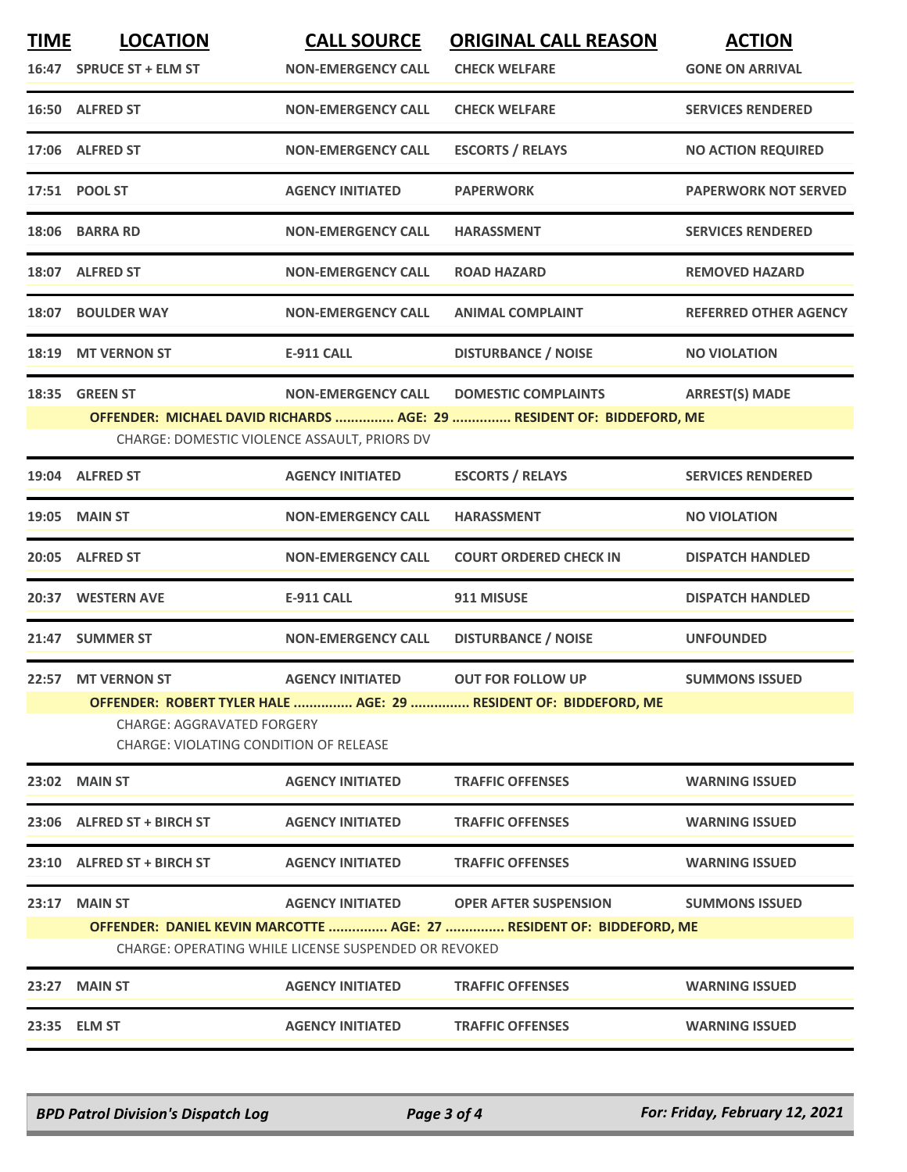| <b>TIME</b> | <b>LOCATION</b>                                                      | <b>CALL SOURCE</b>        | <b>ORIGINAL CALL REASON</b>                                           | <b>ACTION</b>                |  |
|-------------|----------------------------------------------------------------------|---------------------------|-----------------------------------------------------------------------|------------------------------|--|
|             | 16:47 SPRUCE ST + ELM ST                                             | <b>NON-EMERGENCY CALL</b> | <b>CHECK WELFARE</b>                                                  | <b>GONE ON ARRIVAL</b>       |  |
|             | 16:50 ALFRED ST                                                      | <b>NON-EMERGENCY CALL</b> | <b>CHECK WELFARE</b>                                                  | <b>SERVICES RENDERED</b>     |  |
|             | 17:06 ALFRED ST                                                      | <b>NON-EMERGENCY CALL</b> | <b>ESCORTS / RELAYS</b>                                               | <b>NO ACTION REQUIRED</b>    |  |
|             | 17:51 POOL ST                                                        | <b>AGENCY INITIATED</b>   | <b>PAPERWORK</b>                                                      | <b>PAPERWORK NOT SERVED</b>  |  |
|             | 18:06 BARRA RD                                                       | <b>NON-EMERGENCY CALL</b> | <b>HARASSMENT</b>                                                     | <b>SERVICES RENDERED</b>     |  |
|             | 18:07 ALFRED ST                                                      | <b>NON-EMERGENCY CALL</b> | <b>ROAD HAZARD</b>                                                    | <b>REMOVED HAZARD</b>        |  |
| 18:07       | <b>BOULDER WAY</b>                                                   | <b>NON-EMERGENCY CALL</b> | <b>ANIMAL COMPLAINT</b>                                               | <b>REFERRED OTHER AGENCY</b> |  |
|             | 18:19 MT VERNON ST                                                   | <b>E-911 CALL</b>         | <b>DISTURBANCE / NOISE</b>                                            | <b>NO VIOLATION</b>          |  |
| 18:35       | <b>GREEN ST</b>                                                      | <b>NON-EMERGENCY CALL</b> | <b>DOMESTIC COMPLAINTS</b>                                            | <b>ARREST(S) MADE</b>        |  |
|             |                                                                      |                           | OFFENDER: MICHAEL DAVID RICHARDS  AGE: 29  RESIDENT OF: BIDDEFORD, ME |                              |  |
|             | CHARGE: DOMESTIC VIOLENCE ASSAULT, PRIORS DV                         |                           |                                                                       |                              |  |
|             | 19:04 ALFRED ST                                                      | <b>AGENCY INITIATED</b>   | <b>ESCORTS / RELAYS</b>                                               | <b>SERVICES RENDERED</b>     |  |
|             | <b>19:05 MAIN ST</b>                                                 | <b>NON-EMERGENCY CALL</b> | <b>HARASSMENT</b>                                                     | <b>NO VIOLATION</b>          |  |
|             | 20:05 ALFRED ST                                                      | <b>NON-EMERGENCY CALL</b> | <b>COURT ORDERED CHECK IN</b>                                         | <b>DISPATCH HANDLED</b>      |  |
| 20:37       | <b>WESTERN AVE</b>                                                   | <b>E-911 CALL</b>         | 911 MISUSE                                                            | <b>DISPATCH HANDLED</b>      |  |
|             | 21:47 SUMMER ST                                                      | <b>NON-EMERGENCY CALL</b> | <b>DISTURBANCE / NOISE</b>                                            | <b>UNFOUNDED</b>             |  |
|             | 22:57 MT VERNON ST                                                   | <b>AGENCY INITIATED</b>   | <b>OUT FOR FOLLOW UP</b>                                              | <b>SUMMONS ISSUED</b>        |  |
|             |                                                                      |                           | OFFENDER: ROBERT TYLER HALE  AGE: 29  RESIDENT OF: BIDDEFORD, ME      |                              |  |
|             | CHARGE: AGGRAVATED FORGERY<br>CHARGE: VIOLATING CONDITION OF RELEASE |                           |                                                                       |                              |  |
|             | 23:02 MAIN ST                                                        | <b>AGENCY INITIATED</b>   | <b>TRAFFIC OFFENSES</b>                                               | <b>WARNING ISSUED</b>        |  |
|             | 23:06 ALFRED ST + BIRCH ST                                           | <b>AGENCY INITIATED</b>   | <b>TRAFFIC OFFENSES</b>                                               | <b>WARNING ISSUED</b>        |  |
|             | 23:10 ALFRED ST + BIRCH ST                                           | <b>AGENCY INITIATED</b>   | <b>TRAFFIC OFFENSES</b>                                               | <b>WARNING ISSUED</b>        |  |
| 23:17       | <b>MAIN ST</b>                                                       | <b>AGENCY INITIATED</b>   | <b>OPER AFTER SUSPENSION</b>                                          | <b>SUMMONS ISSUED</b>        |  |
|             |                                                                      |                           | OFFENDER: DANIEL KEVIN MARCOTTE  AGE: 27  RESIDENT OF: BIDDEFORD, ME  |                              |  |
|             | CHARGE: OPERATING WHILE LICENSE SUSPENDED OR REVOKED                 |                           |                                                                       |                              |  |
|             | 23:27 MAIN ST                                                        | <b>AGENCY INITIATED</b>   | <b>TRAFFIC OFFENSES</b>                                               | <b>WARNING ISSUED</b>        |  |
|             | 23:35 ELM ST                                                         | <b>AGENCY INITIATED</b>   | <b>TRAFFIC OFFENSES</b>                                               | <b>WARNING ISSUED</b>        |  |

*BPD Patrol Division's Dispatch Log Page 3 of 4 For: Friday, February 12, 2021*